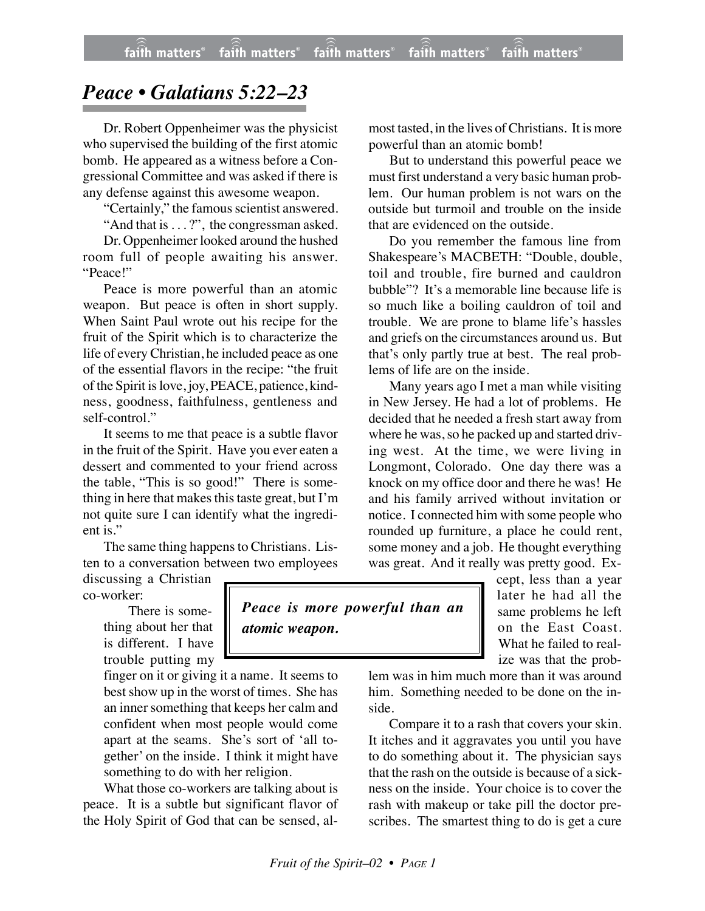## *Peace • Galatians 5:22–23*

Dr. Robert Oppenheimer was the physicist who supervised the building of the first atomic bomb. He appeared as a witness before a Congressional Committee and was asked if there is any defense against this awesome weapon.

"Certainly," the famous scientist answered.

"And that is . . . ?", the congressman asked.

Dr. Oppenheimer looked around the hushed room full of people awaiting his answer. "Peace!"

Peace is more powerful than an atomic weapon. But peace is often in short supply. When Saint Paul wrote out his recipe for the fruit of the Spirit which is to characterize the life of every Christian, he included peace as one of the essential flavors in the recipe: "the fruit of the Spirit is love, joy, PEACE, patience, kindness, goodness, faithfulness, gentleness and self-control."

It seems to me that peace is a subtle flavor in the fruit of the Spirit. Have you ever eaten a dessert and commented to your friend across the table, "This is so good!" There is something in here that makes this taste great, but I'm not quite sure I can identify what the ingredient is."

The same thing happens to Christians. Listen to a conversation between two employees

discussing a Christian co-worker:

> There is something about her that is different. I have trouble putting my

finger on it or giving it a name. It seems to best show up in the worst of times. She has an inner something that keeps her calm and confident when most people would come apart at the seams. She's sort of 'all together' on the inside. I think it might have something to do with her religion.

What those co-workers are talking about is peace. It is a subtle but significant flavor of the Holy Spirit of God that can be sensed, almost tasted, in the lives of Christians. It is more powerful than an atomic bomb!

But to understand this powerful peace we must first understand a very basic human problem. Our human problem is not wars on the outside but turmoil and trouble on the inside that are evidenced on the outside.

Do you remember the famous line from Shakespeare's MACBETH: "Double, double, toil and trouble, fire burned and cauldron bubble"? It's a memorable line because life is so much like a boiling cauldron of toil and trouble. We are prone to blame life's hassles and griefs on the circumstances around us. But that's only partly true at best. The real problems of life are on the inside.

Many years ago I met a man while visiting in New Jersey. He had a lot of problems. He decided that he needed a fresh start away from where he was, so he packed up and started driving west. At the time, we were living in Longmont, Colorado. One day there was a knock on my office door and there he was! He and his family arrived without invitation or notice. I connected him with some people who rounded up furniture, a place he could rent, some money and a job. He thought everything was great. And it really was pretty good. Ex-

cept, less than a year later he had all the same problems he left on the East Coast. What he failed to realize was that the prob-

lem was in him much more than it was around him. Something needed to be done on the inside.

Compare it to a rash that covers your skin. It itches and it aggravates you until you have to do something about it. The physician says that the rash on the outside is because of a sickness on the inside. Your choice is to cover the rash with makeup or take pill the doctor prescribes. The smartest thing to do is get a cure

## *Peace is more powerful than an atomic weapon.*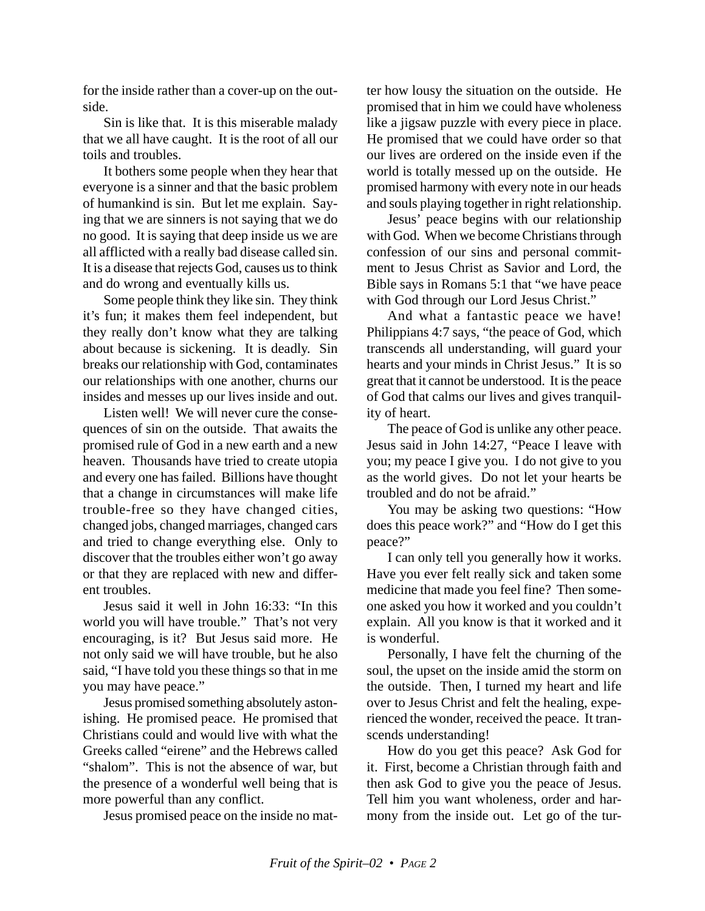for the inside rather than a cover-up on the outside.

Sin is like that. It is this miserable malady that we all have caught. It is the root of all our toils and troubles.

It bothers some people when they hear that everyone is a sinner and that the basic problem of humankind is sin. But let me explain. Saying that we are sinners is not saying that we do no good. It is saying that deep inside us we are all afflicted with a really bad disease called sin. It is a disease that rejects God, causes us to think and do wrong and eventually kills us.

Some people think they like sin. They think it's fun; it makes them feel independent, but they really don't know what they are talking about because is sickening. It is deadly. Sin breaks our relationship with God, contaminates our relationships with one another, churns our insides and messes up our lives inside and out.

Listen well! We will never cure the consequences of sin on the outside. That awaits the promised rule of God in a new earth and a new heaven. Thousands have tried to create utopia and every one has failed. Billions have thought that a change in circumstances will make life trouble-free so they have changed cities, changed jobs, changed marriages, changed cars and tried to change everything else. Only to discover that the troubles either won't go away or that they are replaced with new and different troubles.

Jesus said it well in John 16:33: "In this world you will have trouble." That's not very encouraging, is it? But Jesus said more. He not only said we will have trouble, but he also said, "I have told you these things so that in me you may have peace."

Jesus promised something absolutely astonishing. He promised peace. He promised that Christians could and would live with what the Greeks called "eirene" and the Hebrews called "shalom". This is not the absence of war, but the presence of a wonderful well being that is more powerful than any conflict.

Jesus promised peace on the inside no mat-

ter how lousy the situation on the outside. He promised that in him we could have wholeness like a jigsaw puzzle with every piece in place. He promised that we could have order so that our lives are ordered on the inside even if the world is totally messed up on the outside. He promised harmony with every note in our heads and souls playing together in right relationship.

Jesus' peace begins with our relationship with God. When we become Christians through confession of our sins and personal commitment to Jesus Christ as Savior and Lord, the Bible says in Romans 5:1 that "we have peace with God through our Lord Jesus Christ."

And what a fantastic peace we have! Philippians 4:7 says, "the peace of God, which transcends all understanding, will guard your hearts and your minds in Christ Jesus." It is so great that it cannot be understood. It is the peace of God that calms our lives and gives tranquility of heart.

The peace of God is unlike any other peace. Jesus said in John 14:27, "Peace I leave with you; my peace I give you. I do not give to you as the world gives. Do not let your hearts be troubled and do not be afraid."

You may be asking two questions: "How does this peace work?" and "How do I get this peace?"

I can only tell you generally how it works. Have you ever felt really sick and taken some medicine that made you feel fine? Then someone asked you how it worked and you couldn't explain. All you know is that it worked and it is wonderful.

Personally, I have felt the churning of the soul, the upset on the inside amid the storm on the outside. Then, I turned my heart and life over to Jesus Christ and felt the healing, experienced the wonder, received the peace. It transcends understanding!

How do you get this peace? Ask God for it. First, become a Christian through faith and then ask God to give you the peace of Jesus. Tell him you want wholeness, order and harmony from the inside out. Let go of the tur